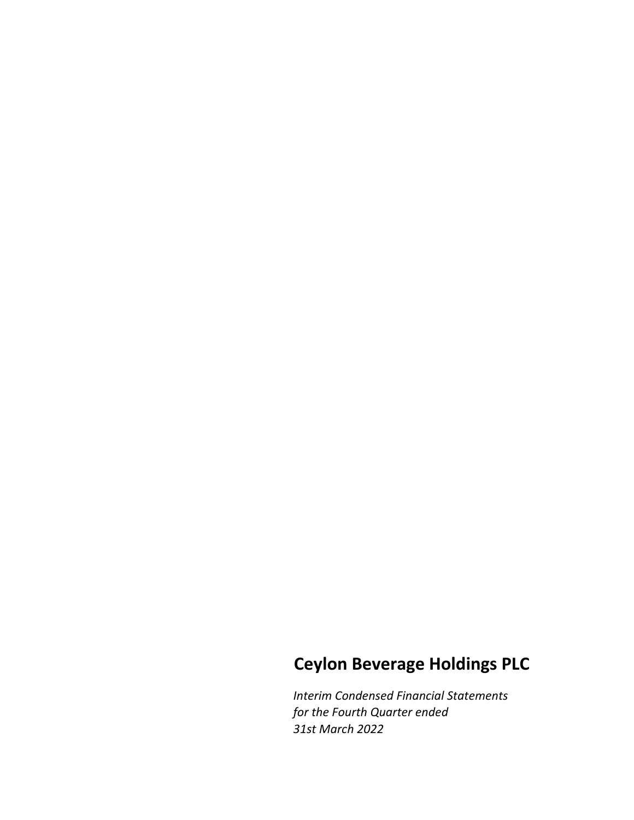# Ceylon Beverage Holdings PLC

Interim Condensed Financial Statements for the Fourth Quarter ended 31st March 2022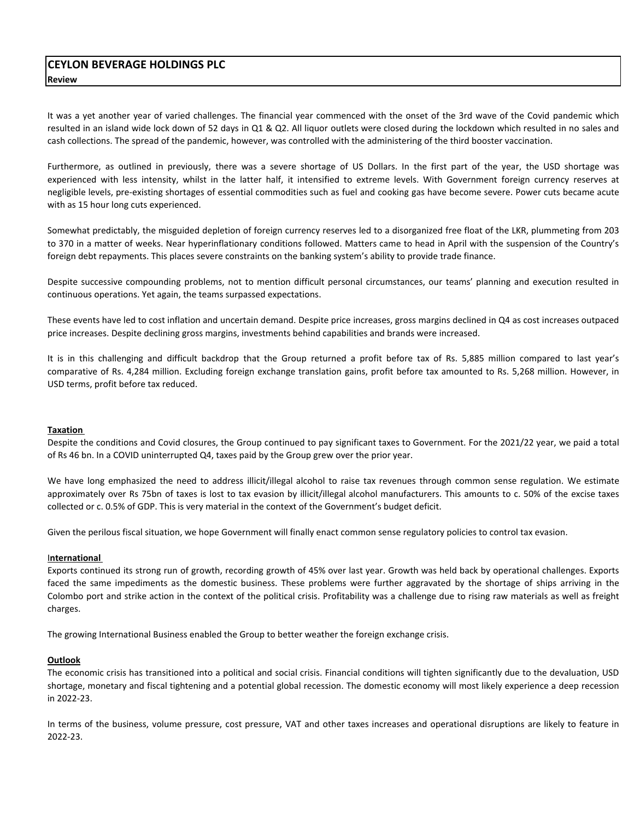It was a yet another year of varied challenges. The financial year commenced with the onset of the 3rd wave of the Covid pandemic which resulted in an island wide lock down of 52 days in Q1 & Q2. All liquor outlets were closed during the lockdown which resulted in no sales and cash collections. The spread of the pandemic, however, was controlled with the administering of the third booster vaccination.

Furthermore, as outlined in previously, there was a severe shortage of US Dollars. In the first part of the year, the USD shortage was experienced with less intensity, whilst in the latter half, it intensified to extreme levels. With Government foreign currency reserves at negligible levels, pre-existing shortages of essential commodities such as fuel and cooking gas have become severe. Power cuts became acute with as 15 hour long cuts experienced.

Somewhat predictably, the misguided depletion of foreign currency reserves led to a disorganized free float of the LKR, plummeting from 203 to 370 in a matter of weeks. Near hyperinflationary conditions followed. Matters came to head in April with the suspension of the Country's foreign debt repayments. This places severe constraints on the banking system's ability to provide trade finance.

Despite successive compounding problems, not to mention difficult personal circumstances, our teams' planning and execution resulted in continuous operations. Yet again, the teams surpassed expectations.

These events have led to cost inflation and uncertain demand. Despite price increases, gross margins declined in Q4 as cost increases outpaced price increases. Despite declining gross margins, investments behind capabilities and brands were increased.

It is in this challenging and difficult backdrop that the Group returned a profit before tax of Rs. 5,885 million compared to last year's comparative of Rs. 4,284 million. Excluding foreign exchange translation gains, profit before tax amounted to Rs. 5,268 million. However, in USD terms, profit before tax reduced.

## Taxation

Despite the conditions and Covid closures, the Group continued to pay significant taxes to Government. For the 2021/22 year, we paid a total of Rs 46 bn. In a COVID uninterrupted Q4, taxes paid by the Group grew over the prior year.

We have long emphasized the need to address illicit/illegal alcohol to raise tax revenues through common sense regulation. We estimate approximately over Rs 75bn of taxes is lost to tax evasion by illicit/illegal alcohol manufacturers. This amounts to c. 50% of the excise taxes collected or c. 0.5% of GDP. This is very material in the context of the Government's budget deficit.

Given the perilous fiscal situation, we hope Government will finally enact common sense regulatory policies to control tax evasion.

## International

Exports continued its strong run of growth, recording growth of 45% over last year. Growth was held back by operational challenges. Exports faced the same impediments as the domestic business. These problems were further aggravated by the shortage of ships arriving in the Colombo port and strike action in the context of the political crisis. Profitability was a challenge due to rising raw materials as well as freight charges.

The growing International Business enabled the Group to better weather the foreign exchange crisis.

## **Outlook**

The economic crisis has transitioned into a political and social crisis. Financial conditions will tighten significantly due to the devaluation, USD shortage, monetary and fiscal tightening and a potential global recession. The domestic economy will most likely experience a deep recession in 2022-23.

In terms of the business, volume pressure, cost pressure, VAT and other taxes increases and operational disruptions are likely to feature in 2022-23.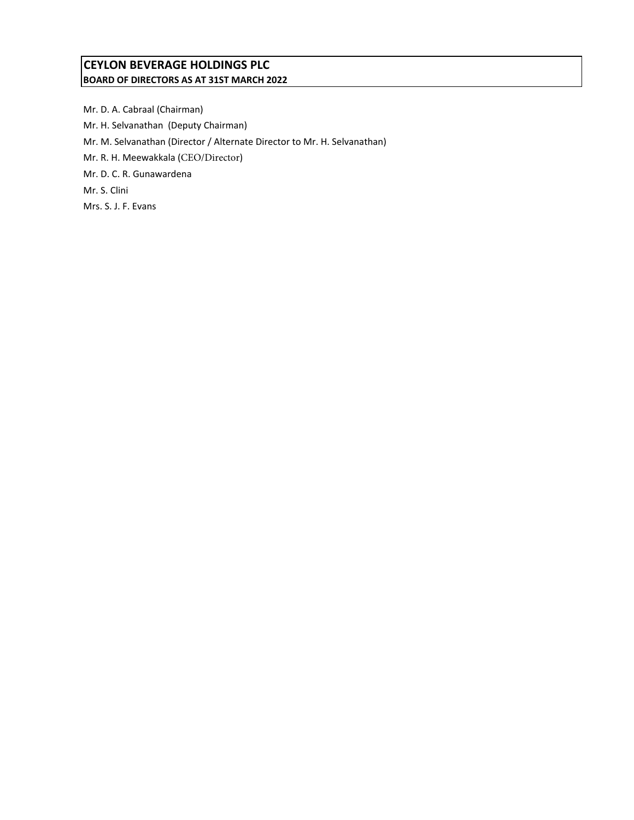## CEYLON BEVERAGE HOLDINGS PLC BOARD OF DIRECTORS AS AT 31ST MARCH 2022

Mr. D. A. Cabraal (Chairman) Mr. H. Selvanathan (Deputy Chairman) Mr. M. Selvanathan (Director / Alternate Director to Mr. H. Selvanathan) Mr. R. H. Meewakkala (CEO/Director) Mr. D. C. R. Gunawardena Mr. S. Clini Mrs. S. J. F. Evans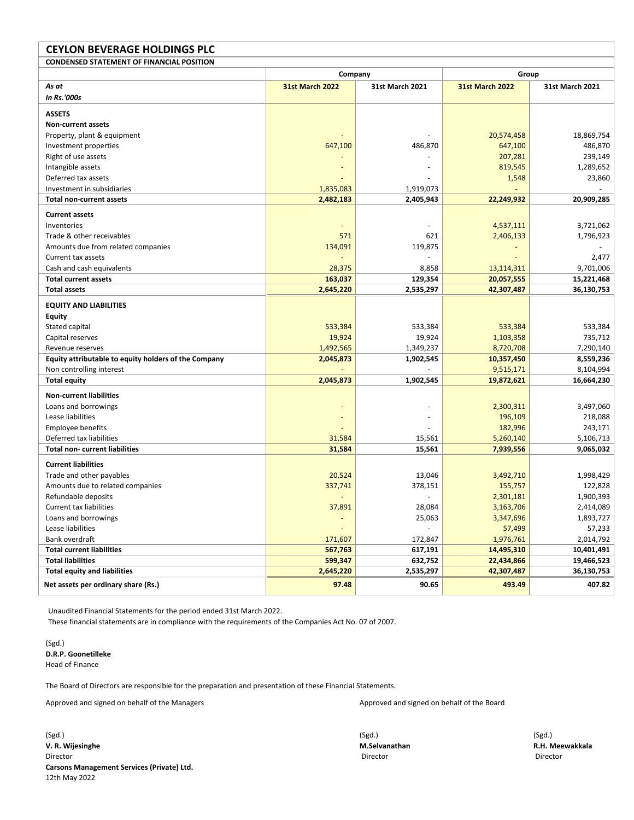| <b>CEYLON BEVERAGE HOLDINGS PLC</b>                  |                        |                        |                        |                        |  |
|------------------------------------------------------|------------------------|------------------------|------------------------|------------------------|--|
| <b>CONDENSED STATEMENT OF FINANCIAL POSITION</b>     |                        |                        |                        |                        |  |
|                                                      | Company                |                        | Group                  |                        |  |
| As at                                                | <b>31st March 2022</b> | <b>31st March 2021</b> | <b>31st March 2022</b> | <b>31st March 2021</b> |  |
| In Rs.'000s                                          |                        |                        |                        |                        |  |
| <b>ASSETS</b>                                        |                        |                        |                        |                        |  |
| <b>Non-current assets</b>                            |                        |                        |                        |                        |  |
| Property, plant & equipment                          |                        |                        | 20,574,458             | 18,869,754             |  |
| Investment properties                                | 647,100                | 486,870                | 647,100                | 486,870                |  |
| Right of use assets                                  |                        |                        | 207,281                | 239,149                |  |
| Intangible assets                                    |                        |                        | 819,545                | 1,289,652              |  |
| Deferred tax assets                                  |                        |                        | 1,548                  | 23,860                 |  |
| Investment in subsidiaries                           | 1,835,083              | 1,919,073              |                        |                        |  |
| <b>Total non-current assets</b>                      | 2,482,183              | 2,405,943              | 22,249,932             | 20,909,285             |  |
| <b>Current assets</b>                                |                        |                        |                        |                        |  |
| Inventories                                          |                        |                        | 4,537,111              | 3,721,062              |  |
| Trade & other receivables                            | 571                    | 621                    | 2,406,133              | 1,796,923              |  |
| Amounts due from related companies                   | 134,091                | 119,875                |                        |                        |  |
| Current tax assets                                   |                        |                        |                        | 2,477                  |  |
| Cash and cash equivalents                            | 28,375                 | 8,858                  | 13,114,311             | 9,701,006              |  |
| <b>Total current assets</b>                          | 163,037                | 129,354                | 20,057,555             | 15,221,468             |  |
| <b>Total assets</b>                                  | 2,645,220              | 2,535,297              | 42,307,487             | 36,130,753             |  |
| <b>EQUITY AND LIABILITIES</b>                        |                        |                        |                        |                        |  |
| <b>Equity</b>                                        |                        |                        |                        |                        |  |
| Stated capital                                       | 533,384                | 533,384                | 533,384                | 533,384                |  |
| Capital reserves                                     | 19,924                 | 19,924                 | 1,103,358              | 735,712                |  |
| Revenue reserves                                     | 1,492,565              | 1,349,237              | 8,720,708              | 7,290,140              |  |
| Equity attributable to equity holders of the Company | 2,045,873              | 1,902,545              | 10,357,450             | 8,559,236              |  |
| Non controlling interest                             |                        |                        | 9,515,171              | 8,104,994              |  |
| <b>Total equity</b>                                  | 2,045,873              | 1,902,545              | 19,872,621             | 16,664,230             |  |
| <b>Non-current liabilities</b>                       |                        |                        |                        |                        |  |
| Loans and borrowings                                 |                        |                        | 2,300,311              | 3,497,060              |  |
| Lease liabilities                                    |                        |                        | 196,109                | 218,088                |  |
| <b>Employee benefits</b>                             |                        |                        | 182,996                | 243,171                |  |
| Deferred tax liabilities                             | 31,584                 | 15,561                 | 5,260,140              | 5,106,713              |  |
| <b>Total non- current liabilities</b>                | 31,584                 | 15,561                 | 7,939,556              | 9,065,032              |  |
| <b>Current liabilities</b>                           |                        |                        |                        |                        |  |
| Trade and other payables                             | 20,524                 | 13,046                 | 3,492,710              | 1,998,429              |  |
| Amounts due to related companies                     | 337,741                | 378,151                | 155,757                | 122,828                |  |
| Refundable deposits                                  |                        | L,                     | 2,301,181              | 1,900,393              |  |
| Current tax liabilities                              | 37,891                 | 28,084                 | 3,163,706              | 2,414,089              |  |
| Loans and borrowings                                 |                        | 25,063                 | 3,347,696              | 1,893,727              |  |
| Lease liabilities                                    |                        |                        | 57,499                 | 57,233                 |  |
| Bank overdraft                                       | 171,607                | 172,847                | 1,976,761              | 2,014,792              |  |
| <b>Total current liabilities</b>                     | 567,763                | 617,191                | 14,495,310             | 10,401,491             |  |
| <b>Total liabilities</b>                             | 599,347                | 632,752                | 22,434,866             | 19,466,523             |  |
| <b>Total equity and liabilities</b>                  | 2,645,220              | 2,535,297              | 42,307,487             | 36,130,753             |  |
| Net assets per ordinary share (Rs.)                  | 97.48                  | 90.65                  | 493.49                 | 407.82                 |  |

Unaudited Financial Statements for the period ended 31st March 2022.

These financial statements are in compliance with the requirements of the Companies Act No. 07 of 2007.

(Sgd.) D.R.P. Goonetilleke Head of Finance

The Board of Directors are responsible for the preparation and presentation of these Financial Statements.

Approved and signed on behalf of the Managers Approved and signed on behalf of the Board

(Sgd.) (Sgd.) (Sgd.) V. R. Wijesinghe M.Selvanathan R.H. Meewakkala Director Director Director Carsons Management Services (Private) Ltd. 12th May 2022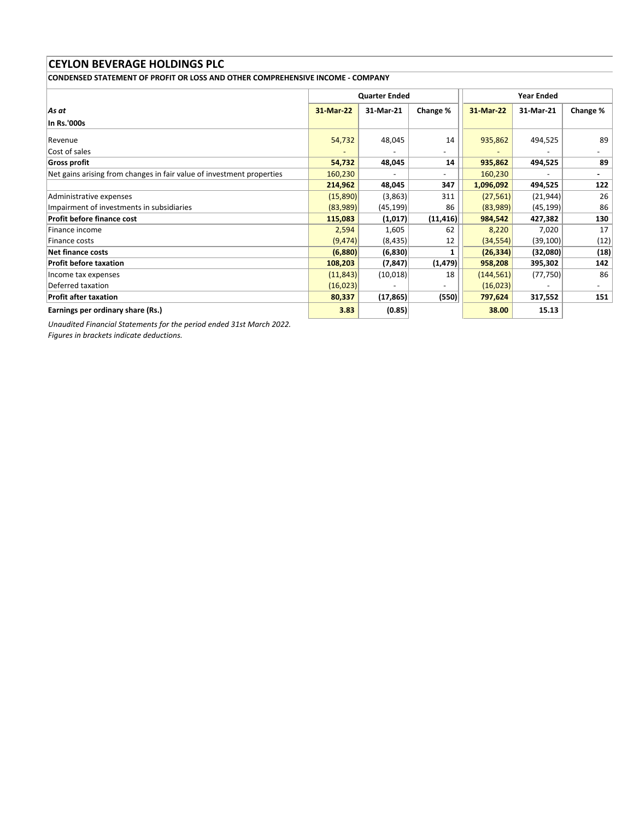CONDENSED STATEMENT OF PROFIT OR LOSS AND OTHER COMPREHENSIVE INCOME - COMPANY

|                                                                       |           | <b>Quarter Ended</b> |                          |            |           |                |
|-----------------------------------------------------------------------|-----------|----------------------|--------------------------|------------|-----------|----------------|
| As at                                                                 | 31-Mar-22 | 31-Mar-21            | Change %                 | 31-Mar-22  | 31-Mar-21 | Change %       |
| In Rs.'000s                                                           |           |                      |                          |            |           |                |
| Revenue                                                               | 54,732    | 48,045               | 14                       | 935,862    | 494,525   | 89             |
| Cost of sales                                                         |           |                      | $\overline{\phantom{a}}$ |            |           |                |
| Gross profit                                                          | 54,732    | 48,045               | 14                       | 935,862    | 494,525   | 89             |
| Net gains arising from changes in fair value of investment properties | 160,230   |                      | $\overline{\phantom{a}}$ | 160,230    |           | $\blacksquare$ |
|                                                                       | 214,962   | 48,045               | 347                      | 1,096,092  | 494,525   | 122            |
| Administrative expenses                                               | (15,890)  | (3,863)              | 311                      | (27, 561)  | (21, 944) | 26             |
| Impairment of investments in subsidiaries                             | (83,989)  | (45, 199)            | 86                       | (83,989)   | (45, 199) | 86             |
| <b>Profit before finance cost</b>                                     | 115,083   | (1,017)              | (11, 416)                | 984,542    | 427,382   | 130            |
| Finance income                                                        | 2,594     | 1,605                | 62                       | 8,220      | 7,020     | 17             |
| Finance costs                                                         | (9, 474)  | (8, 435)             | 12                       | (34, 554)  | (39, 100) | (12)           |
| <b>Net finance costs</b>                                              | (6,880)   | (6,830)              |                          | (26, 334)  | (32,080)  | (18)           |
| <b>Profit before taxation</b>                                         | 108,203   | (7, 847)             | (1, 479)                 | 958,208    | 395,302   | 142            |
| Income tax expenses                                                   | (11, 843) | (10,018)             | 18                       | (144, 561) | (77, 750) | 86             |
| Deferred taxation                                                     | (16, 023) |                      |                          | (16,023)   |           |                |
| <b>Profit after taxation</b>                                          | 80,337    | (17, 865)            | (550)                    | 797,624    | 317,552   | 151            |
| Earnings per ordinary share (Rs.)                                     | 3.83      | (0.85)               |                          | 38.00      | 15.13     |                |

Unaudited Financial Statements for the period ended 31st March 2022.

Figures in brackets indicate deductions.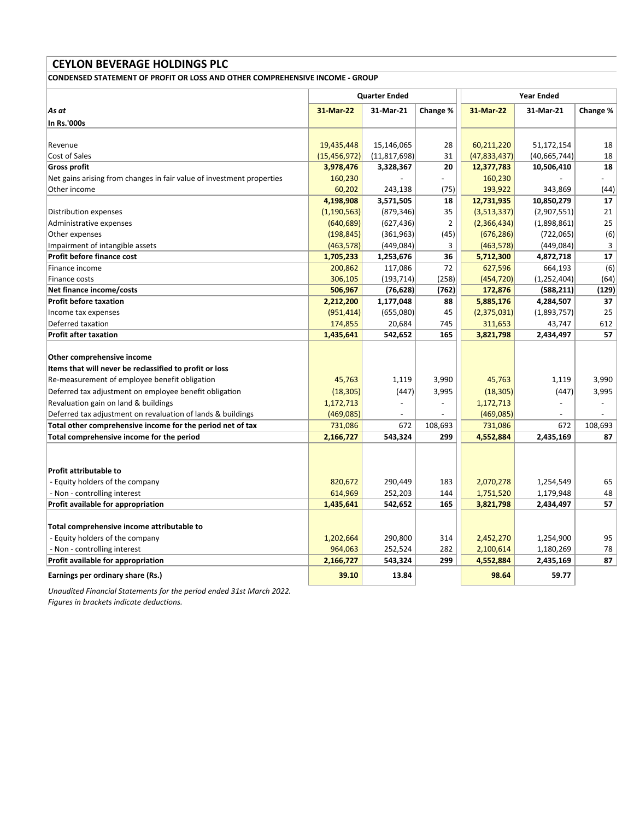CONDENSED STATEMENT OF PROFIT OR LOSS AND OTHER COMPREHENSIVE INCOME - GROUP

| 31-Mar-22  | 31-Mar-21                                                             | Change %                        | 31-Mar-22                                                                                                              | 31-Mar-21                           | Change %                                    |
|------------|-----------------------------------------------------------------------|---------------------------------|------------------------------------------------------------------------------------------------------------------------|-------------------------------------|---------------------------------------------|
|            |                                                                       |                                 |                                                                                                                        |                                     |                                             |
|            |                                                                       |                                 |                                                                                                                        |                                     |                                             |
| 19,435,448 | 15,146,065                                                            | 28                              | 60,211,220                                                                                                             | 51,172,154                          | 18                                          |
|            |                                                                       | 31                              | (47, 833, 437)                                                                                                         | (40, 665, 744)                      | 18                                          |
| 3,978,476  | 3,328,367                                                             | 20                              | 12,377,783                                                                                                             | 10,506,410                          | 18                                          |
| 160,230    |                                                                       |                                 | 160,230                                                                                                                |                                     |                                             |
| 60,202     | 243,138                                                               | (75)                            | 193,922                                                                                                                | 343,869                             | (44)                                        |
| 4,198,908  | 3,571,505                                                             | 18                              | 12,731,935                                                                                                             | 10,850,279                          | 17                                          |
|            |                                                                       | 35                              | (3,513,337)                                                                                                            | (2,907,551)                         | 21                                          |
| (640, 689) |                                                                       | $\overline{2}$                  | (2,366,434)                                                                                                            | (1,898,861)                         | 25                                          |
| (198, 845) |                                                                       | (45)                            | (676, 286)                                                                                                             | (722,065)                           | (6)                                         |
| (463, 578) |                                                                       | 3                               | (463, 578)                                                                                                             | (449, 084)                          | 3                                           |
| 1,705,233  | 1,253,676                                                             | 36                              | 5,712,300                                                                                                              | 4,872,718                           | 17                                          |
| 200,862    | 117,086                                                               | 72                              | 627,596                                                                                                                | 664,193                             | (6)                                         |
| 306,105    |                                                                       | (258)                           | (454, 720)                                                                                                             | (1, 252, 404)                       | (64)                                        |
| 506,967    |                                                                       | (762)                           | 172,876                                                                                                                | (588, 211)                          | (129)                                       |
| 2,212,200  | 1,177,048                                                             | 88                              | 5,885,176                                                                                                              | 4,284,507                           | 37                                          |
|            |                                                                       | 45                              | (2,375,031)                                                                                                            | (1,893,757)                         | 25                                          |
| 174,855    | 20,684                                                                | 745                             | 311,653                                                                                                                | 43,747                              | 612                                         |
| 1,435,641  | 542,652                                                               | 165                             | 3,821,798                                                                                                              | 2,434,497                           | 57                                          |
|            |                                                                       |                                 |                                                                                                                        |                                     |                                             |
|            |                                                                       |                                 |                                                                                                                        |                                     |                                             |
|            |                                                                       |                                 |                                                                                                                        |                                     |                                             |
| 45,763     | 1,119                                                                 | 3,990                           | 45,763                                                                                                                 | 1,119                               | 3,990                                       |
| (18, 305)  |                                                                       | 3,995                           | (18, 305)                                                                                                              | (447)                               | 3,995                                       |
| 1,172,713  |                                                                       |                                 | 1,172,713                                                                                                              |                                     |                                             |
| (469,085)  | $\overline{\phantom{a}}$                                              | $\overline{\phantom{a}}$        | (469,085)                                                                                                              | $\overline{a}$                      | $\overline{\phantom{a}}$                    |
| 731,086    | 672                                                                   | 108,693                         | 731,086                                                                                                                | 672                                 | 108,693                                     |
| 2,166,727  | 543,324                                                               | 299                             | 4,552,884                                                                                                              | 2,435,169                           | 87                                          |
|            |                                                                       |                                 |                                                                                                                        |                                     |                                             |
|            |                                                                       |                                 |                                                                                                                        |                                     |                                             |
|            |                                                                       |                                 |                                                                                                                        |                                     |                                             |
| 820,672    | 290,449                                                               | 183                             | 2,070,278                                                                                                              | 1,254,549                           | 65                                          |
|            | 252,203                                                               | 144                             |                                                                                                                        |                                     | 48                                          |
|            |                                                                       | 165                             |                                                                                                                        |                                     | 57                                          |
|            |                                                                       |                                 |                                                                                                                        |                                     |                                             |
|            |                                                                       |                                 |                                                                                                                        |                                     |                                             |
| 1,202,664  | 290,800                                                               | 314                             | 2,452,270                                                                                                              | 1,254,900                           | 95                                          |
| 964,063    | 252,524                                                               | 282                             | 2,100,614                                                                                                              | 1,180,269                           | 78                                          |
| 2,166,727  | 543,324                                                               | 299                             |                                                                                                                        | 2,435,169                           | 87                                          |
| 39.10      | 13.84                                                                 |                                 | 98.64                                                                                                                  | 59.77                               |                                             |
|            | (15, 456, 972)<br>(1, 190, 563)<br>(951, 414)<br>614,969<br>1,435,641 | <b>Quarter Ended</b><br>542,652 | (11, 817, 698)<br>(879, 346)<br>(627, 436)<br>(361, 963)<br>(449,084)<br>(193, 714)<br>(76, 628)<br>(655,080)<br>(447) | 1,751,520<br>3,821,798<br>4,552,884 | <b>Year Ended</b><br>1,179,948<br>2,434,497 |

Unaudited Financial Statements for the period ended 31st March 2022. Figures in brackets indicate deductions.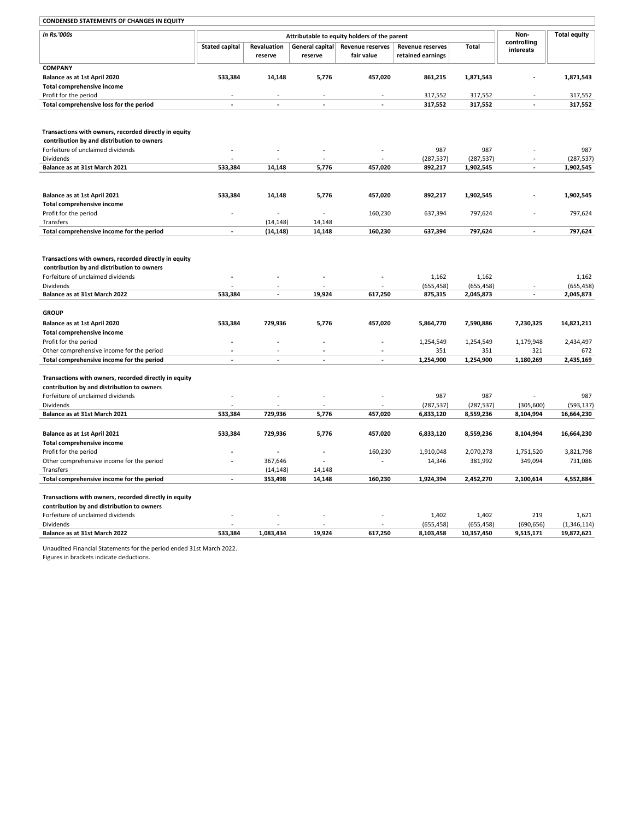| <b>CONDENSED STATEMENTS OF CHANGES IN EQUITY</b>      |                       |                        |                            |                                              |                                              |            |                          |                         |
|-------------------------------------------------------|-----------------------|------------------------|----------------------------|----------------------------------------------|----------------------------------------------|------------|--------------------------|-------------------------|
| In Rs.'000s                                           |                       |                        |                            | Attributable to equity holders of the parent |                                              |            | Non-                     | <b>Total equity</b>     |
|                                                       | <b>Stated capital</b> | Revaluation<br>reserve | General capital<br>reserve | <b>Revenue reserves</b><br>fair value        | <b>Revenue reserves</b><br>retained earnings | Total      | controlling<br>interests |                         |
| <b>COMPANY</b>                                        |                       |                        |                            |                                              |                                              |            |                          |                         |
| Balance as at 1st April 2020                          | 533,384               | 14,148                 | 5,776                      | 457,020                                      | 861,215                                      | 1,871,543  |                          | 1,871,543               |
| Total comprehensive income                            |                       |                        |                            |                                              |                                              |            |                          |                         |
| Profit for the period                                 |                       |                        |                            |                                              | 317,552                                      | 317,552    |                          | 317,552                 |
| Total comprehensive loss for the period               |                       |                        |                            |                                              | 317,552                                      | 317,552    |                          | 317,552                 |
|                                                       |                       |                        |                            |                                              |                                              |            |                          |                         |
| Transactions with owners, recorded directly in equity |                       |                        |                            |                                              |                                              |            |                          |                         |
| contribution by and distribution to owners            |                       |                        |                            |                                              |                                              |            |                          |                         |
| Forfeiture of unclaimed dividends                     |                       |                        |                            |                                              | 987                                          | 987        |                          | 987                     |
| Dividends                                             |                       |                        |                            |                                              | (287, 537)                                   | (287, 537) |                          | (287, 537)              |
| Balance as at 31st March 2021                         | 533,384               | 14,148                 | 5,776                      | 457,020                                      | 892,217                                      | 1,902,545  |                          | 1,902,545               |
|                                                       |                       |                        |                            |                                              |                                              |            |                          |                         |
| Balance as at 1st April 2021                          | 533,384               | 14,148                 | 5,776                      | 457,020                                      | 892,217                                      | 1,902,545  |                          | 1,902,545               |
| Total comprehensive income                            |                       |                        |                            |                                              |                                              |            |                          |                         |
| Profit for the period                                 |                       |                        |                            | 160,230                                      | 637,394                                      | 797,624    |                          | 797,624                 |
| Transfers                                             |                       | (14, 148)              | 14,148                     |                                              |                                              |            |                          |                         |
| Total comprehensive income for the period             |                       | (14, 148)              | 14,148                     | 160,230                                      | 637,394                                      | 797,624    |                          | 797,624                 |
|                                                       |                       |                        |                            |                                              |                                              |            |                          |                         |
| Transactions with owners, recorded directly in equity |                       |                        |                            |                                              |                                              |            |                          |                         |
| contribution by and distribution to owners            |                       |                        |                            |                                              |                                              |            |                          |                         |
| Forfeiture of unclaimed dividends                     |                       |                        |                            |                                              | 1,162                                        | 1,162      |                          | 1,162                   |
| <b>Dividends</b><br>Balance as at 31st March 2022     | 533,384               | ÷                      | 19,924                     |                                              | (655, 458)                                   | (655, 458) | ÷.                       | (655, 458)<br>2,045,873 |
|                                                       |                       |                        |                            | 617,250                                      | 875,315                                      | 2,045,873  |                          |                         |
| <b>GROUP</b>                                          |                       |                        |                            |                                              |                                              |            |                          |                         |
| Balance as at 1st April 2020                          | 533,384               | 729,936                | 5,776                      | 457,020                                      | 5,864,770                                    | 7,590,886  | 7,230,325                | 14,821,211              |
| Total comprehensive income                            |                       |                        |                            |                                              |                                              |            |                          |                         |
| Profit for the period                                 |                       |                        |                            |                                              | 1,254,549                                    | 1,254,549  | 1,179,948                | 2,434,497               |
| Other comprehensive income for the period             |                       |                        | ÷.                         |                                              | 351                                          | 351        | 321                      | 672                     |
| Total comprehensive income for the period             | $\sim$                | $\overline{a}$         | ÷                          | ä,                                           | 1,254,900                                    | 1,254,900  | 1,180,269                | 2,435,169               |
| Transactions with owners, recorded directly in equity |                       |                        |                            |                                              |                                              |            |                          |                         |
| contribution by and distribution to owners            |                       |                        |                            |                                              |                                              |            |                          |                         |
| Forfeiture of unclaimed dividends                     |                       |                        |                            |                                              | 987                                          | 987        |                          | 987                     |
| Dividends                                             |                       |                        |                            |                                              | (287, 537)                                   | (287, 537) | (305,600)                | (593, 137)              |
| Balance as at 31st March 2021                         | 533,384               | 729,936                | 5,776                      | 457,020                                      | 6,833,120                                    | 8,559,236  | 8,104,994                | 16,664,230              |
| Balance as at 1st April 2021                          | 533,384               | 729,936                | 5,776                      | 457,020                                      | 6,833,120                                    | 8,559,236  | 8,104,994                | 16,664,230              |
| Total comprehensive income                            |                       |                        |                            |                                              |                                              |            |                          |                         |
| Profit for the period                                 |                       |                        |                            | 160,230                                      | 1,910,048                                    | 2,070,278  | 1,751,520                | 3,821,798               |
| Other comprehensive income for the period             |                       | 367,646                |                            | ä,                                           | 14,346                                       | 381,992    | 349,094                  | 731,086                 |
| Transfers                                             |                       | (14, 148)              | 14,148                     |                                              |                                              |            |                          |                         |
| Total comprehensive income for the period             | $\sim$                | 353,498                | 14,148                     | 160,230                                      | 1,924,394                                    | 2,452,270  | 2,100,614                | 4,552,884               |
| Transactions with owners, recorded directly in equity |                       |                        |                            |                                              |                                              |            |                          |                         |
| contribution by and distribution to owners            |                       |                        |                            |                                              |                                              |            |                          |                         |
| Forfeiture of unclaimed dividends                     |                       |                        |                            |                                              | 1,402                                        | 1,402      | 219                      | 1,621                   |
| Dividends                                             |                       |                        |                            |                                              | (655, 458)                                   | (655, 458) | (690, 656)               | (1,346,114)             |
| Balance as at 31st March 2022                         | 533,384               | 1,083,434              | 19,924                     | 617,250                                      | 8,103,458                                    | 10,357,450 | 9,515,171                | 19,872,621              |
|                                                       |                       |                        |                            |                                              |                                              |            |                          |                         |

Unaudited Financial Statements for the period ended 31st March 2022.

Figures in brackets indicate deductions.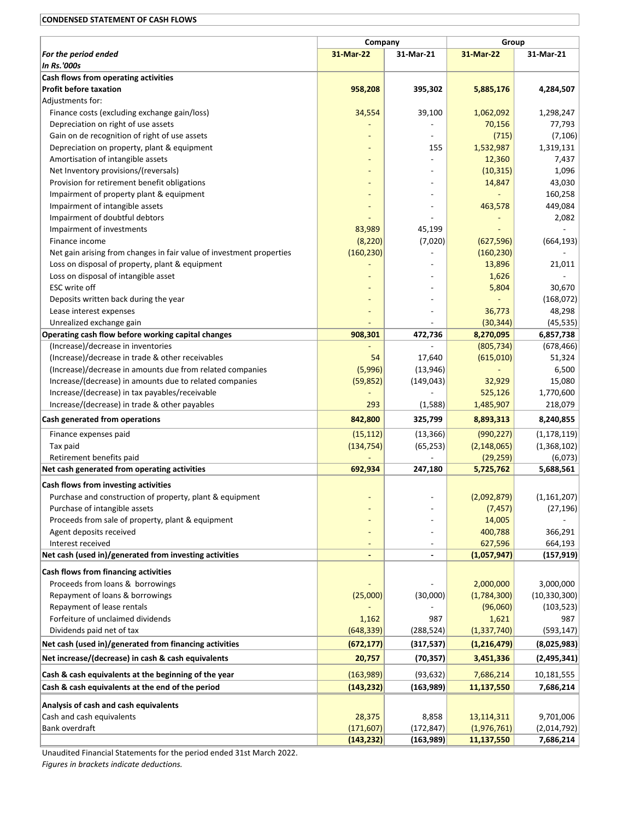## CONDENSED STATEMENT OF CASH FLOWS

| For the period ended                                                               | Company<br>31-Mar-22 |                          | Group<br>31-Mar-21<br>31-Mar-22 |                |  |
|------------------------------------------------------------------------------------|----------------------|--------------------------|---------------------------------|----------------|--|
| <b>In Rs.'000s</b>                                                                 |                      |                          |                                 | 31-Mar-21      |  |
| Cash flows from operating activities                                               |                      |                          |                                 |                |  |
| <b>Profit before taxation</b>                                                      | 958,208              | 395,302                  | 5,885,176                       | 4,284,507      |  |
| Adjustments for:                                                                   |                      |                          |                                 |                |  |
| Finance costs (excluding exchange gain/loss)                                       | 34,554               | 39,100                   | 1,062,092                       | 1,298,247      |  |
| Depreciation on right of use assets                                                |                      |                          | 70,156                          | 77,793         |  |
| Gain on de recognition of right of use assets                                      |                      |                          | (715)                           | (7, 106)       |  |
| Depreciation on property, plant & equipment                                        |                      | 155                      | 1,532,987                       | 1,319,131      |  |
| Amortisation of intangible assets                                                  |                      |                          | 12,360                          | 7,437          |  |
| Net Inventory provisions/(reversals)                                               |                      |                          | (10, 315)                       | 1,096          |  |
| Provision for retirement benefit obligations                                       |                      |                          | 14,847                          | 43,030         |  |
| Impairment of property plant & equipment                                           |                      |                          |                                 | 160,258        |  |
| Impairment of intangible assets                                                    |                      |                          | 463,578                         | 449,084        |  |
| Impairment of doubtful debtors                                                     |                      |                          |                                 | 2,082          |  |
| Impairment of investments                                                          | 83,989               | 45,199                   |                                 |                |  |
| Finance income                                                                     | (8, 220)             | (7,020)                  | (627, 596)                      | (664, 193)     |  |
| Net gain arising from changes in fair value of investment properties               | (160, 230)           |                          | (160, 230)                      |                |  |
| Loss on disposal of property, plant & equipment                                    |                      |                          | 13,896                          | 21,011         |  |
| Loss on disposal of intangible asset                                               |                      |                          | 1,626                           |                |  |
| ESC write off                                                                      |                      |                          | 5,804                           | 30,670         |  |
| Deposits written back during the year                                              |                      |                          |                                 | (168,072)      |  |
| Lease interest expenses                                                            |                      |                          | 36,773                          | 48,298         |  |
| Unrealized exchange gain                                                           |                      |                          | (30, 344)                       | (45, 535)      |  |
| Operating cash flow before working capital changes                                 | 908,301              | 472,736                  | 8,270,095                       | 6,857,738      |  |
| (Increase)/decrease in inventories                                                 |                      |                          | (805, 734)                      | (678, 466)     |  |
| (Increase)/decrease in trade & other receivables                                   | 54                   | 17,640                   | (615,010)                       | 51,324         |  |
| (Increase)/decrease in amounts due from related companies                          | (5,996)              | (13,946)                 |                                 | 6,500          |  |
| Increase/(decrease) in amounts due to related companies                            | (59, 852)            | (149, 043)               | 32,929                          | 15,080         |  |
| Increase/(decrease) in tax payables/receivable                                     |                      |                          | 525,126                         | 1,770,600      |  |
| Increase/(decrease) in trade & other payables                                      | 293                  | (1,588)                  | 1,485,907                       | 218,079        |  |
| Cash generated from operations                                                     | 842,800              | 325,799                  | 8,893,313                       | 8,240,855      |  |
| Finance expenses paid                                                              | (15, 112)            | (13, 366)                | (990, 227)                      | (1, 178, 119)  |  |
| Tax paid                                                                           | (134, 754)           | (65, 253)                | (2, 148, 065)                   | (1,368,102)    |  |
| Retirement benefits paid                                                           |                      |                          | (29, 259)                       | (6,073)        |  |
| Net cash generated from operating activities                                       | 692,934              | 247,180                  | 5,725,762                       | 5,688,561      |  |
| Cash flows from investing activities                                               |                      |                          |                                 |                |  |
| Purchase and construction of property, plant & equipment                           |                      |                          | (2,092,879)                     | (1, 161, 207)  |  |
|                                                                                    |                      |                          |                                 |                |  |
| Purchase of intangible assets<br>Proceeds from sale of property, plant & equipment |                      |                          | (7, 457)                        | (27, 196)      |  |
| Agent deposits received                                                            |                      |                          | 14,005<br>400,788               | 366,291        |  |
| Interest received                                                                  |                      |                          | 627,596                         | 664,193        |  |
| Net cash (used in)/generated from investing activities                             |                      | $\overline{\phantom{a}}$ | (1,057,947)                     | (157, 919)     |  |
|                                                                                    |                      |                          |                                 |                |  |
| Cash flows from financing activities                                               |                      |                          |                                 |                |  |
| Proceeds from loans & borrowings                                                   |                      |                          | 2,000,000                       | 3,000,000      |  |
| Repayment of loans & borrowings                                                    | (25,000)             | (30,000)                 | (1,784,300)                     | (10, 330, 300) |  |
| Repayment of lease rentals                                                         |                      |                          | (96,060)                        | (103, 523)     |  |
| Forfeiture of unclaimed dividends                                                  | 1,162                | 987                      | 1,621                           | 987            |  |
| Dividends paid net of tax                                                          | (648, 339)           | (288, 524)               | (1, 337, 740)                   | (593, 147)     |  |
| Net cash (used in)/generated from financing activities                             | (672, 177)           | (317, 537)               | (1,216,479)                     | (8,025,983)    |  |
| Net increase/(decrease) in cash & cash equivalents                                 | 20,757               | (70, 357)                | 3,451,336                       | (2,495,341)    |  |
| Cash & cash equivalents at the beginning of the year                               | (163,989)            | (93, 632)                | 7,686,214                       | 10,181,555     |  |
| Cash & cash equivalents at the end of the period                                   | (143, 232)           | (163,989)                | 11,137,550                      | 7,686,214      |  |
| Analysis of cash and cash equivalents                                              |                      |                          |                                 |                |  |
| Cash and cash equivalents                                                          | 28,375               | 8,858                    | 13,114,311                      | 9,701,006      |  |
| Bank overdraft                                                                     | (171, 607)           | (172, 847)               | (1,976,761)                     | (2,014,792)    |  |
|                                                                                    | (143, 232)           | (163,989)                | 11,137,550                      | 7,686,214      |  |

Unaudited Financial Statements for the period ended 31st March 2022. Figures in brackets indicate deductions.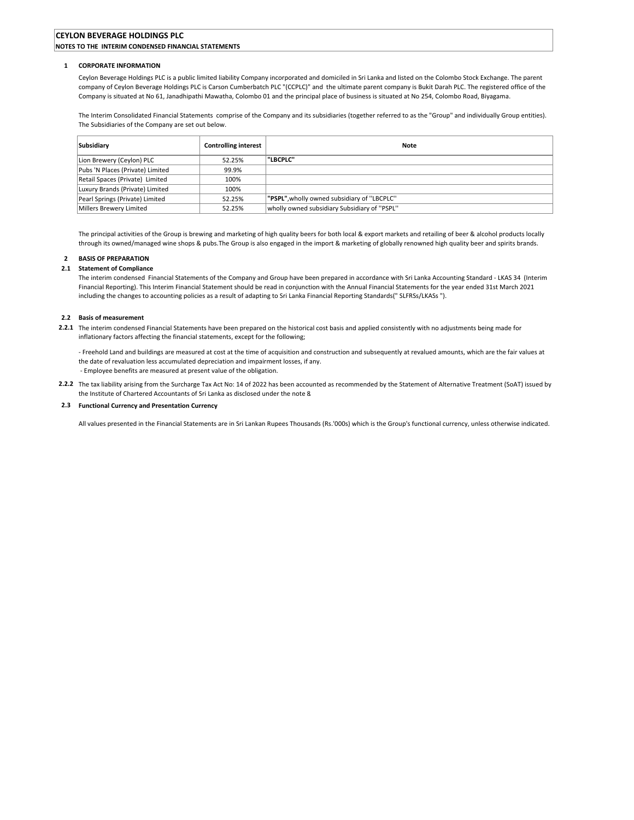### CEYLON BEVERAGE HOLDINGS PLC NOTES TO THE INTERIM CONDENSED FINANCIAL STATEMENTS

#### 1 CORPORATE INFORMATION

Ceylon Beverage Holdings PLC is a public limited liability Company incorporated and domiciled in Sri Lanka and listed on the Colombo Stock Exchange. The parent company of Ceylon Beverage Holdings PLC is Carson Cumberbatch PLC "(CCPLC)" and the ultimate parent company is Bukit Darah PLC. The registered office of the Company is situated at No 61, Janadhipathi Mawatha, Colombo 01 and the principal place of business is situated at No 254, Colombo Road, Biyagama.

The Interim Consolidated Financial Statements comprise of the Company and its subsidiaries (together referred to as the "Group" and individually Group entities). The Subsidiaries of the Company are set out below.

| <b>Subsidiary</b>                | <b>Controlling interest</b> | <b>Note</b>                                  |
|----------------------------------|-----------------------------|----------------------------------------------|
| Lion Brewery (Ceylon) PLC        | 52.25%                      | "LBCPLC"                                     |
| Pubs 'N Places (Private) Limited | 99.9%                       |                                              |
| Retail Spaces (Private) Limited  | 100%                        |                                              |
| Luxury Brands (Private) Limited  | 100%                        |                                              |
| Pearl Springs (Private) Limited  | 52.25%                      | "PSPL", wholly owned subsidiary of "LBCPLC"  |
| Millers Brewery Limited          | 52.25%                      | wholly owned subsidiary Subsidiary of "PSPL" |

The principal activities of the Group is brewing and marketing of high quality beers for both local & export markets and retailing of beer & alcohol products locally through its owned/managed wine shops & pubs.The Group is also engaged in the import & marketing of globally renowned high quality beer and spirits brands.

### 2 BASIS OF PREPARATION

#### 2.1 Statement of Compliance

The interim condensed Financial Statements of the Company and Group have been prepared in accordance with Sri Lanka Accounting Standard - LKAS 34 (Interim Financial Reporting). This Interim Financial Statement should be read in conjunction with the Annual Financial Statements for the year ended 31st March 2021 including the changes to accounting policies as a result of adapting to Sri Lanka Financial Reporting Standards(" SLFRSs/LKASs ").

### 2.2 Basis of measurement

2.2.1 The interim condensed Financial Statements have been prepared on the historical cost basis and applied consistently with no adjustments being made for inflationary factors affecting the financial statements, except for the following;

- Freehold Land and buildings are measured at cost at the time of acquisition and construction and subsequently at revalued amounts, which are the fair values at the date of revaluation less accumulated depreciation and impairment losses, if any. - Employee benefits are measured at present value of the obligation.

2.2.2 The tax liability arising from the Surcharge Tax Act No: 14 of 2022 has been accounted as recommended by the Statement of Alternative Treatment (SoAT) issued by the Institute of Chartered Accountants of Sri Lanka as disclosed under the note 8.

#### 2.3 Functional Currency and Presentation Currency

All values presented in the Financial Statements are in Sri Lankan Rupees Thousands (Rs.'000s) which is the Group's functional currency, unless otherwise indicated.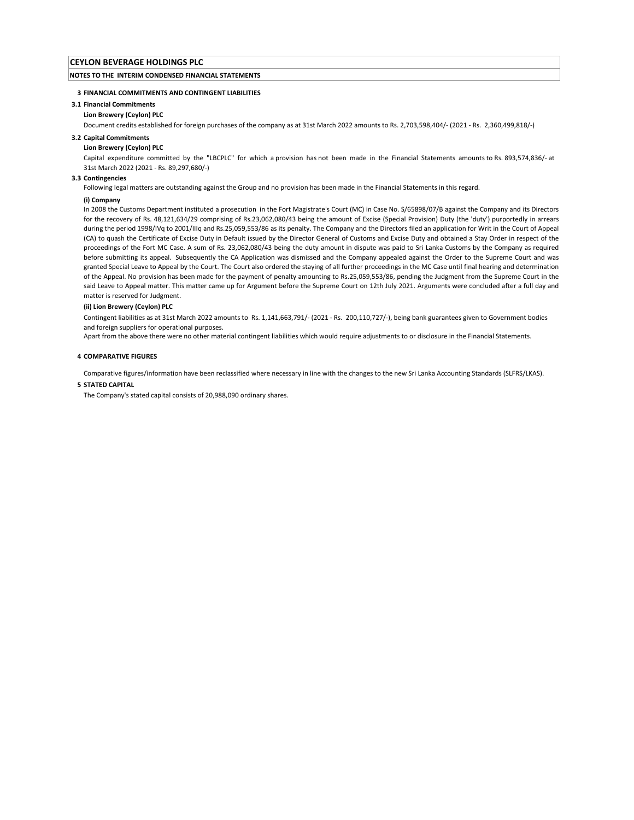#### NOTES TO THE INTERIM CONDENSED FINANCIAL STATEMENTS

#### 3 FINANCIAL COMMITMENTS AND CONTINGENT LIABILITIES

#### 3.1 Financial Commitments

#### Lion Brewery (Ceylon) PLC

Document credits established for foreign purchases of the company as at 31st March 2022 amounts to Rs. 2,703,598,404/- (2021 - Rs. 2,360,499,818/-)

#### 3.2 Capital Commitments

#### Lion Brewery (Ceylon) PLC

Capital expenditure committed by the "LBCPLC" for which a provision has not been made in the Financial Statements amounts to Rs. 893,574,836/- at 31st March 2022 (2021 - Rs. 89,297,680/-)

### 3.3 Contingencies

Following legal matters are outstanding against the Group and no provision has been made in the Financial Statements in this regard.

#### (i) Company

In 2008 the Customs Department instituted a prosecution in the Fort Magistrate's Court (MC) in Case No. S/65898/07/B against the Company and its Directors for the recovery of Rs. 48,121,634/29 comprising of Rs.23,062,080/43 being the amount of Excise (Special Provision) Duty (the 'duty') purportedly in arrears during the period 1998/IVq to 2001/IIIq and Rs.25,059,553/86 as its penalty. The Company and the Directors filed an application for Writ in the Court of Appeal (CA) to quash the Certificate of Excise Duty in Default issued by the Director General of Customs and Excise Duty and obtained a Stay Order in respect of the proceedings of the Fort MC Case. A sum of Rs. 23,062,080/43 being the duty amount in dispute was paid to Sri Lanka Customs by the Company as required before submitting its appeal. Subsequently the CA Application was dismissed and the Company appealed against the Order to the Supreme Court and was granted Special Leave to Appeal by the Court. The Court also ordered the staying of all further proceedings in the MC Case until final hearing and determination of the Appeal. No provision has been made for the payment of penalty amounting to Rs.25,059,553/86, pending the Judgment from the Supreme Court in the said Leave to Appeal matter. This matter came up for Argument before the Supreme Court on 12th July 2021. Arguments were concluded after a full day and matter is reserved for Judgment.

#### (ii) Lion Brewery (Ceylon) PLC

Contingent liabilities as at 31st March 2022 amounts to Rs. 1,141,663,791/- (2021 - Rs. 200,110,727/-), being bank guarantees given to Government bodies and foreign suppliers for operational purposes.

Apart from the above there were no other material contingent liabilities which would require adjustments to or disclosure in the Financial Statements.

#### 4 COMPARATIVE FIGURES

Comparative figures/information have been reclassified where necessary in line with the changes to the new Sri Lanka Accounting Standards (SLFRS/LKAS).

#### 5 STATED CAPITAL

The Company's stated capital consists of 20,988,090 ordinary shares.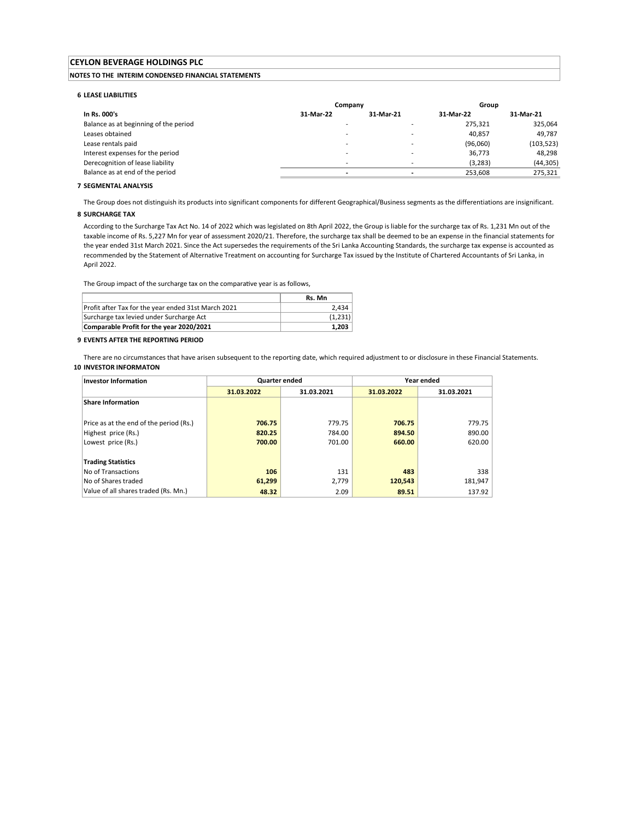### NOTES TO THE INTERIM CONDENSED FINANCIAL STATEMENTS

#### 6 LEASE LIABILITIES

|                                       | Company                  |           | Group     |            |
|---------------------------------------|--------------------------|-----------|-----------|------------|
| In Rs. 000's                          | 31-Mar-22                | 31-Mar-21 | 31-Mar-22 | 31-Mar-21  |
| Balance as at beginning of the period | -                        |           | 275.321   | 325,064    |
| Leases obtained                       | -                        |           | 40,857    | 49.787     |
| Lease rentals paid                    | -                        |           | (96,060)  | (103, 523) |
| Interest expenses for the period      | -                        |           | 36,773    | 48,298     |
| Derecognition of lease liability      | $\overline{\phantom{a}}$ | -         | (3, 283)  | (44, 305)  |
| Balance as at end of the period       |                          |           | 253,608   | 275,321    |
|                                       |                          |           |           |            |

#### **7 SEGMENTAL ANALYSIS**

The Group does not distinguish its products into significant components for different Geographical/Business segments as the differentiations are insignificant.

## 8 SURCHARGE TAX

According to the Surcharge Tax Act No. 14 of 2022 which was legislated on 8th April 2022, the Group is liable for the surcharge tax of Rs. 1,231 Mn out of the taxable income of Rs. 5,227 Mn for year of assessment 2020/21. Therefore, the surcharge tax shall be deemed to be an expense in the financial statements for the year ended 31st March 2021. Since the Act supersedes the requirements of the Sri Lanka Accounting Standards, the surcharge tax expense is accounted as recommended by the Statement of Alternative Treatment on accounting for Surcharge Tax issued by the Institute of Chartered Accountants of Sri Lanka, in April 2022.

The Group impact of the surcharge tax on the comparative year is as follows,

|                                                     | Rs. Mn  |
|-----------------------------------------------------|---------|
| Profit after Tax for the year ended 31st March 2021 | 2.434   |
| Surcharge tax levied under Surcharge Act            | (1,231) |
| Comparable Profit for the year 2020/2021            | 1,203   |

#### 9 EVENTS AFTER THE REPORTING PERIOD

10 INVESTOR INFORMATON There are no circumstances that have arisen subsequent to the reporting date, which required adjustment to or disclosure in these Financial Statements.

| <b>Investor Information</b>             | <b>Quarter ended</b> |            |            | Year ended |
|-----------------------------------------|----------------------|------------|------------|------------|
|                                         | 31.03.2022           | 31.03.2021 | 31.03.2022 | 31.03.2021 |
| Share Information                       |                      |            |            |            |
|                                         |                      |            |            |            |
| Price as at the end of the period (Rs.) | 706.75               | 779.75     | 706.75     | 779.75     |
| Highest price (Rs.)                     | 820.25               | 784.00     | 894.50     | 890.00     |
| Lowest price (Rs.)                      | 700.00               | 701.00     | 660.00     | 620.00     |
|                                         |                      |            |            |            |
| <b>Trading Statistics</b>               |                      |            |            |            |
| No of Transactions                      | 106                  | 131        | 483        | 338        |
| No of Shares traded                     | 61,299               | 2,779      | 120,543    | 181,947    |
| Value of all shares traded (Rs. Mn.)    | 48.32                | 2.09       | 89.51      | 137.92     |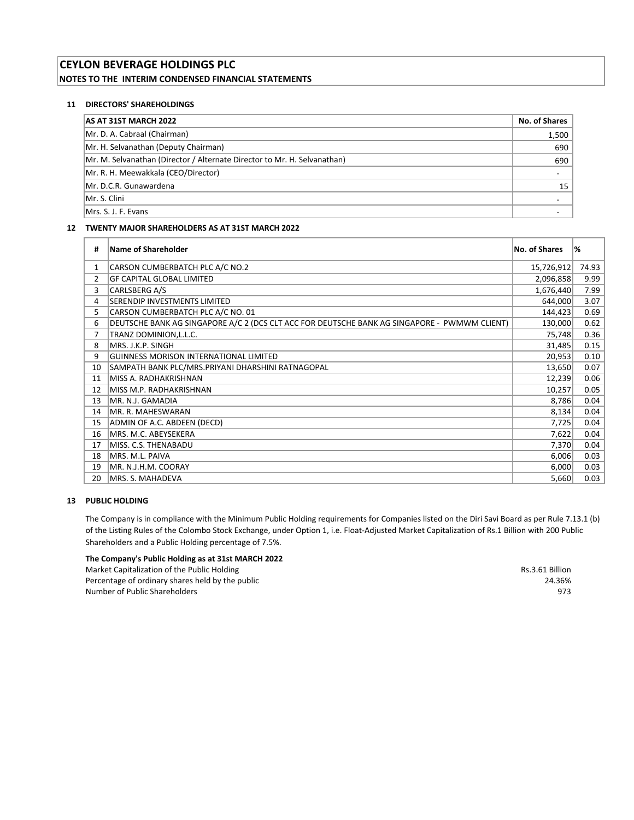## CEYLON BEVERAGE HOLDINGS PLC NOTES TO THE INTERIM CONDENSED FINANCIAL STATEMENTS

## 11 DIRECTORS' SHAREHOLDINGS

| <b>AS AT 31ST MARCH 2022</b>                                             | No. of Shares |
|--------------------------------------------------------------------------|---------------|
| Mr. D. A. Cabraal (Chairman)                                             | 1,500         |
| Mr. H. Selvanathan (Deputy Chairman)                                     | 690           |
| Mr. M. Selvanathan (Director / Alternate Director to Mr. H. Selvanathan) | 690           |
| Mr. R. H. Meewakkala (CEO/Director)                                      |               |
| Mr. D.C.R. Gunawardena                                                   | 15            |
| Mr. S. Clini                                                             |               |
| Mrs. S. J. F. Evans                                                      |               |

## 12 TWENTY MAJOR SHAREHOLDERS AS AT 31ST MARCH 2022

| #              | <b>Name of Shareholder</b>                                                                   | <b>No. of Shares</b> | %     |
|----------------|----------------------------------------------------------------------------------------------|----------------------|-------|
| 1              | CARSON CUMBERBATCH PLC A/C NO.2                                                              | 15,726,912           | 74.93 |
| $\overline{2}$ | <b>GF CAPITAL GLOBAL LIMITED</b>                                                             | 2,096,858            | 9.99  |
| 3              | CARLSBERG A/S                                                                                | 1,676,440            | 7.99  |
| 4              | SERENDIP INVESTMENTS LIMITED                                                                 | 644,000              | 3.07  |
| 5              | CARSON CUMBERBATCH PLC A/C NO. 01                                                            | 144,423              | 0.69  |
| 6              | DEUTSCHE BANK AG SINGAPORE A/C 2 (DCS CLT ACC FOR DEUTSCHE BANK AG SINGAPORE - PWMWM CLIENT) | 130,000              | 0.62  |
|                | TRANZ DOMINION, L.L.C.                                                                       | 75,748               | 0.36  |
| 8              | MRS. J.K.P. SINGH                                                                            | 31,485               | 0.15  |
| 9              | <b>GUINNESS MORISON INTERNATIONAL LIMITED</b>                                                | 20,953               | 0.10  |
| 10             | SAMPATH BANK PLC/MRS.PRIYANI DHARSHINI RATNAGOPAL                                            | 13,650               | 0.07  |
| 11             | MISS A. RADHAKRISHNAN                                                                        | 12,239               | 0.06  |
| 12             | MISS M.P. RADHAKRISHNAN                                                                      | 10,257               | 0.05  |
| 13             | MR. N.J. GAMADIA                                                                             | 8,786                | 0.04  |
| 14             | MR. R. MAHESWARAN                                                                            | 8,134                | 0.04  |
| 15             | ADMIN OF A.C. ABDEEN (DECD)                                                                  | 7,725                | 0.04  |
| 16             | MRS. M.C. ABEYSEKERA                                                                         | 7,622                | 0.04  |
| 17             | MISS. C.S. THENABADU                                                                         | 7,370                | 0.04  |
| 18             | MRS. M.L. PAIVA                                                                              | 6,006                | 0.03  |
| 19             | MR. N.J.H.M. COORAY                                                                          | 6,000                | 0.03  |
| 20             | MRS. S. MAHADEVA                                                                             | 5,660                | 0.03  |

## 13 PUBLIC HOLDING

The Company is in compliance with the Minimum Public Holding requirements for Companies listed on the Diri Savi Board as per Rule 7.13.1 (b) of the Listing Rules of the Colombo Stock Exchange, under Option 1, i.e. Float-Adjusted Market Capitalization of Rs.1 Billion with 200 Public Shareholders and a Public Holding percentage of 7.5%.

## The Company's Public Holding as at 31st MARCH 2022

Market Capitalization of the Public Holding **Rs.3.61 Billion** Rs.3.61 Billion Percentage of ordinary shares held by the public 24.36% and  $24.36\%$ Number of Public Shareholders 973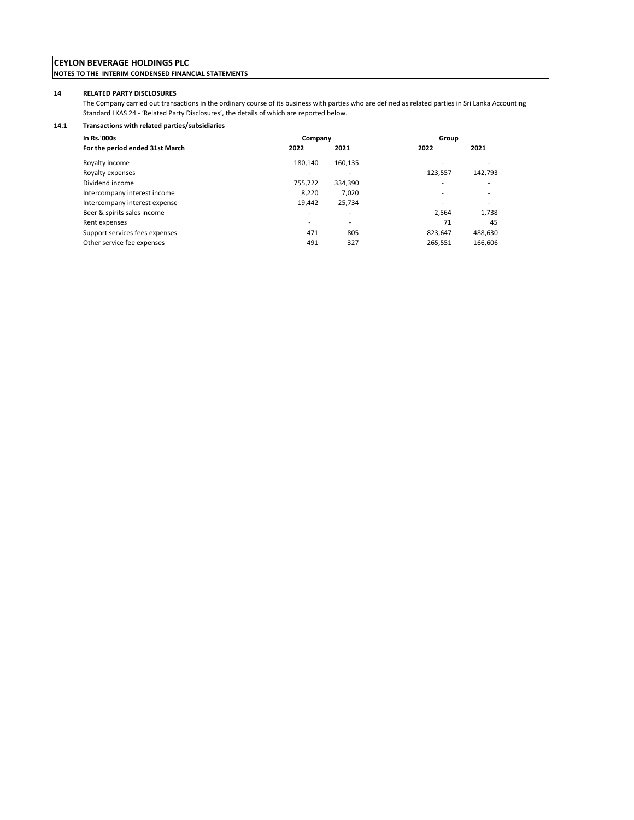## CEYLON BEVERAGE HOLDINGS PLC NOTES TO THE INTERIM CONDENSED FINANCIAL STATEMENTS

### 14 RELATED PARTY DISCLOSURES

The Company carried out transactions in the ordinary course of its business with parties who are defined as related parties in Sri Lanka Accounting Standard LKAS 24 - 'Related Party Disclosures', the details of which are reported below.

## 14.1 Transactions with related parties/subsidiaries

| In Rs.'000s                     | Company |         | Group                    |         |  |
|---------------------------------|---------|---------|--------------------------|---------|--|
| For the period ended 31st March | 2022    | 2021    | 2022                     | 2021    |  |
| Royalty income                  | 180.140 | 160,135 |                          |         |  |
| Royalty expenses                |         |         | 123.557                  | 142,793 |  |
| Dividend income                 | 755,722 | 334,390 | $\overline{\phantom{a}}$ | ۰       |  |
| Intercompany interest income    | 8,220   | 7,020   | ۰                        | ۰       |  |
| Intercompany interest expense   | 19.442  | 25.734  |                          | ٠       |  |
| Beer & spirits sales income     | ۰       | ۰       | 2.564                    | 1,738   |  |
| Rent expenses                   |         | ۰       | 71                       | 45      |  |
| Support services fees expenses  | 471     | 805     | 823,647                  | 488,630 |  |
| Other service fee expenses      | 491     | 327     | 265,551                  | 166,606 |  |